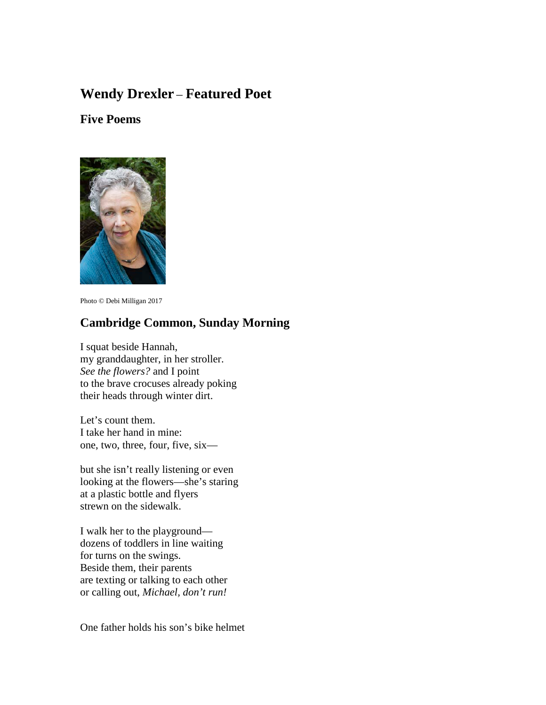# **Wendy Drexler** – **Featured Poet**

# **Five Poems**



Photo © Debi Milligan 2017

## **Cambridge Common, Sunday Morning**

I squat beside Hannah, my granddaughter, in her stroller. *See the flowers?* and I point to the brave crocuses already poking their heads through winter dirt.

Let's count them. I take her hand in mine: one, two, three, four, five, six—

but she isn't really listening or even looking at the flowers—she's staring at a plastic bottle and flyers strewn on the sidewalk.

I walk her to the playground dozens of toddlers in line waiting for turns on the swings. Beside them, their parents are texting or talking to each other or calling out, *Michael, don't run!*

One father holds his son's bike helmet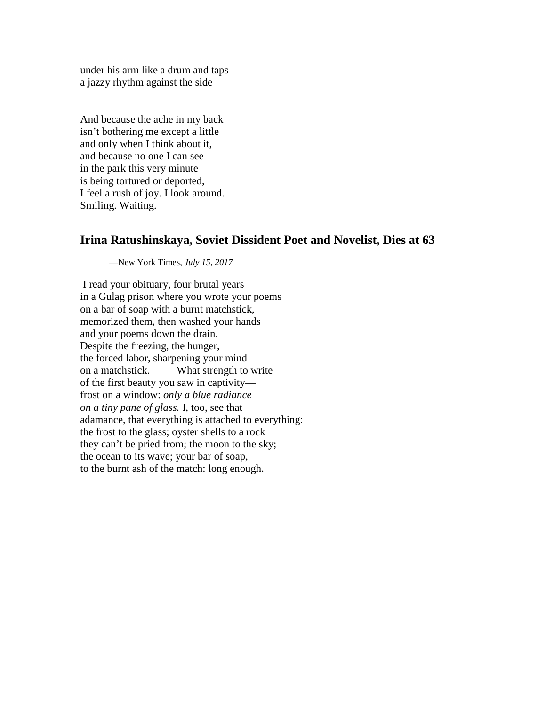under his arm like a drum and taps a jazzy rhythm against the side

And because the ache in my back isn't bothering me except a little and only when I think about it, and because no one I can see in the park this very minute is being tortured or deported, I feel a rush of joy. I look around. Smiling. Waiting.

### **Irina Ratushinskaya, Soviet Dissident Poet and Novelist, Dies at 63**

—New York Times, *July 15, 2017*

I read your obituary, four brutal years in a Gulag prison where you wrote your poems on a bar of soap with a burnt matchstick, memorized them, then washed your hands and your poems down the drain. Despite the freezing, the hunger, the forced labor, sharpening your mind on a matchstick. What strength to write of the first beauty you saw in captivity frost on a window: *only a blue radiance on a tiny pane of glass.* I, too, see that adamance, that everything is attached to everything: the frost to the glass; oyster shells to a rock they can't be pried from; the moon to the sky; the ocean to its wave; your bar of soap, to the burnt ash of the match: long enough.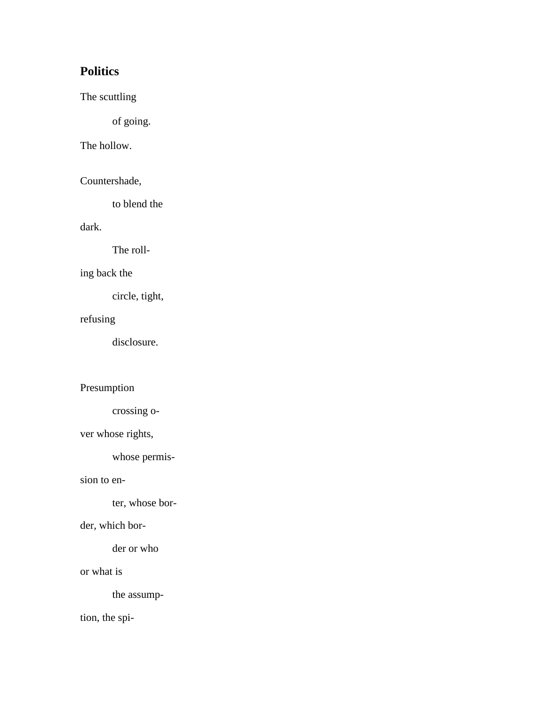# **Politics**

The scuttling

of going.

## The hollow.

Countershade,

to blend the

## dark.

The roll-

## ing back the

circle, tight,

#### refusing

disclosure.

### Presumption

crossing o-

## ver whose rights,

whose permis-

#### sion to en-

ter, whose bor-

#### der, which bor-

der or who

#### or what is

the assump-

tion, the spi-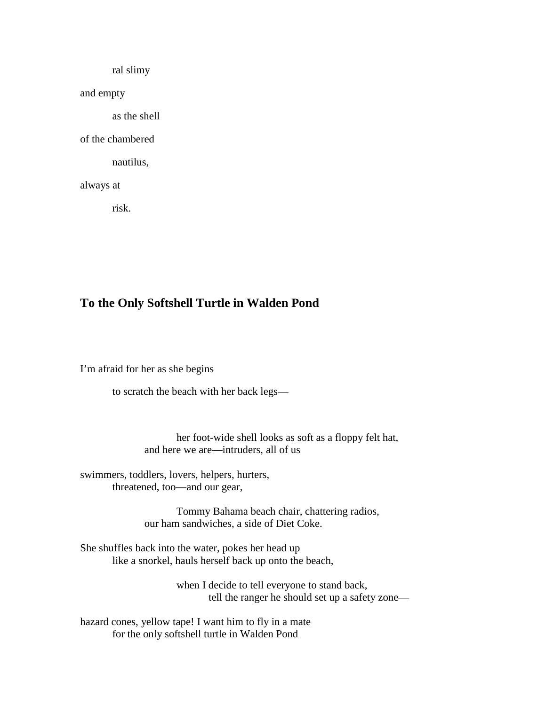ral slimy

and empty

as the shell

of the chambered

nautilus,

always at

risk.

# **To the Only Softshell Turtle in Walden Pond**

I'm afraid for her as she begins

to scratch the beach with her back legs—

 her foot-wide shell looks as soft as a floppy felt hat, and here we are—intruders, all of us

swimmers, toddlers, lovers, helpers, hurters, threatened, too—and our gear,

> Tommy Bahama beach chair, chattering radios, our ham sandwiches, a side of Diet Coke.

She shuffles back into the water, pokes her head up like a snorkel, hauls herself back up onto the beach,

> when I decide to tell everyone to stand back, tell the ranger he should set up a safety zone—

hazard cones, yellow tape! I want him to fly in a mate for the only softshell turtle in Walden Pond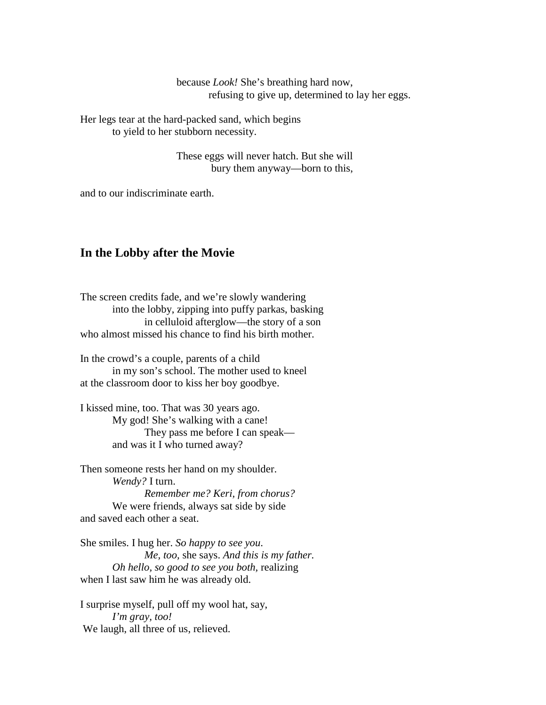because *Look!* She's breathing hard now, refusing to give up*,* determined to lay her eggs.

Her legs tear at the hard-packed sand, which begins to yield to her stubborn necessity.

> These eggs will never hatch. But she will bury them anyway—born to this,

and to our indiscriminate earth.

#### **In the Lobby after the Movie**

The screen credits fade, and we're slowly wandering into the lobby, zipping into puffy parkas, basking in celluloid afterglow—the story of a son who almost missed his chance to find his birth mother.

In the crowd's a couple, parents of a child in my son's school. The mother used to kneel at the classroom door to kiss her boy goodbye.

I kissed mine, too. That was 30 years ago. My god! She's walking with a cane! They pass me before I can speak and was it I who turned away?

Then someone rests her hand on my shoulder. *Wendy?* I turn.  *Remember me? Keri, from chorus?* We were friends, always sat side by side and saved each other a seat.

She smiles. I hug her. *So happy to see you*.  *Me, too,* she says. *And this is my father. Oh hello, so good to see you both,* realizing when I last saw him he was already old.

I surprise myself, pull off my wool hat, say,  *I'm gray, too!* We laugh, all three of us, relieved.